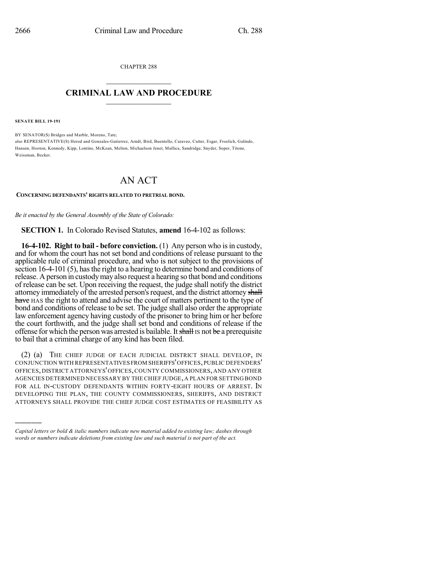CHAPTER 288  $\overline{\phantom{a}}$  . The set of the set of the set of the set of the set of the set of the set of the set of the set of the set of the set of the set of the set of the set of the set of the set of the set of the set of the set o

## **CRIMINAL LAW AND PROCEDURE**  $\frac{1}{2}$  ,  $\frac{1}{2}$  ,  $\frac{1}{2}$  ,  $\frac{1}{2}$  ,  $\frac{1}{2}$  ,  $\frac{1}{2}$  ,  $\frac{1}{2}$

**SENATE BILL 19-191**

)))))

BY SENATOR(S) Bridges and Marble, Moreno, Tate; also REPRESENTATIVE(S) Herod and Gonzales-Gutierrez, Arndt, Bird, Buentello, Caraveo, Cutter, Esgar, Froelich, Galindo, Hansen, Hooton, Kennedy, Kipp, Lontine, McKean, Melton, Michaelson Jenet, Mullica, Sandridge, Snyder, Soper, Titone, Weissman, Becker.

## AN ACT

## **CONCERNING DEFENDANTS' RIGHTS RELATED TO PRETRIAL BOND.**

*Be it enacted by the General Assembly of the State of Colorado:*

**SECTION 1.** In Colorado Revised Statutes, **amend** 16-4-102 as follows:

**16-4-102. Right to bail - before conviction.** (1) Any person who isin custody, and for whom the court has not set bond and conditions of release pursuant to the applicable rule of criminal procedure, and who is not subject to the provisions of section 16-4-101 (5), has the right to a hearing to determine bond and conditions of release. A person in custodymay also request a hearing so that bond and conditions of release can be set. Upon receiving the request, the judge shall notify the district attorney immediately of the arrested person's request, and the district attorney shall have HAS the right to attend and advise the court of matters pertinent to the type of bond and conditions of release to be set. The judge shall also order the appropriate law enforcement agency having custody of the prisoner to bring him or her before the court forthwith, and the judge shall set bond and conditions of release if the offense for which the person was arrested is bailable. It shall IS not be a prerequisite to bail that a criminal charge of any kind has been filed.

(2) (a) THE CHIEF JUDGE OF EACH JUDICIAL DISTRICT SHALL DEVELOP, IN CONJUNCTION WITH REPRESENTATIVES FROM SHERIFFS'OFFICES,PUBLIC DEFENDERS' OFFICES, DISTRICT ATTORNEYS'OFFICES,COUNTY COMMISSIONERS, AND ANY OTHER AGENCIES DETERMINED NECESSARY BY THE CHIEF JUDGE, A PLAN FOR SETTING BOND FOR ALL IN-CUSTODY DEFENDANTS WITHIN FORTY-EIGHT HOURS OF ARREST. IN DEVELOPING THE PLAN, THE COUNTY COMMISSIONERS, SHERIFFS, AND DISTRICT ATTORNEYS SHALL PROVIDE THE CHIEF JUDGE COST ESTIMATES OF FEASIBILITY AS

*Capital letters or bold & italic numbers indicate new material added to existing law; dashes through words or numbers indicate deletions from existing law and such material is not part of the act.*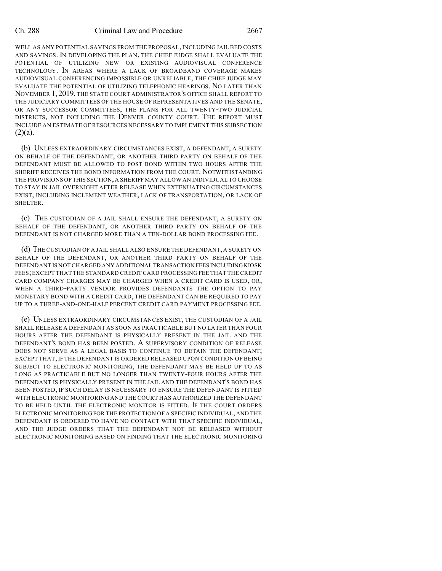## Ch. 288 Criminal Law and Procedure 2667

WELL AS ANY POTENTIAL SAVINGS FROM THE PROPOSAL, INCLUDING JAIL BED COSTS AND SAVINGS. IN DEVELOPING THE PLAN, THE CHIEF JUDGE SHALL EVALUATE THE POTENTIAL OF UTILIZING NEW OR EXISTING AUDIOVISUAL CONFERENCE TECHNOLOGY. IN AREAS WHERE A LACK OF BROADBAND COVERAGE MAKES AUDIOVISUAL CONFERENCING IMPOSSIBLE OR UNRELIABLE, THE CHIEF JUDGE MAY EVALUATE THE POTENTIAL OF UTILIZING TELEPHONIC HEARINGS. NO LATER THAN NOVEMBER 1, 2019, THE STATE COURT ADMINISTRATOR'S OFFICE SHALL REPORT TO THE JUDICIARY COMMITTEES OF THE HOUSE OF REPRESENTATIVES AND THE SENATE, OR ANY SUCCESSOR COMMITTEES, THE PLANS FOR ALL TWENTY-TWO JUDICIAL DISTRICTS, NOT INCLUDING THE DENVER COUNTY COURT. THE REPORT MUST INCLUDE AN ESTIMATE OF RESOURCES NECESSARY TO IMPLEMENT THIS SUBSECTION  $(2)(a)$ .

(b) UNLESS EXTRAORDINARY CIRCUMSTANCES EXIST, A DEFENDANT, A SURETY ON BEHALF OF THE DEFENDANT, OR ANOTHER THIRD PARTY ON BEHALF OF THE DEFENDANT MUST BE ALLOWED TO POST BOND WITHIN TWO HOURS AFTER THE SHERIFF RECEIVES THE BOND INFORMATION FROM THE COURT. NOTWITHSTANDING THE PROVISIONS OF THIS SECTION,A SHERIFF MAY ALLOW AN INDIVIDUAL TO CHOOSE TO STAY IN JAIL OVERNIGHT AFTER RELEASE WHEN EXTENUATING CIRCUMSTANCES EXIST, INCLUDING INCLEMENT WEATHER, LACK OF TRANSPORTATION, OR LACK OF SHELTER.

(c) THE CUSTODIAN OF A JAIL SHALL ENSURE THE DEFENDANT, A SURETY ON BEHALF OF THE DEFENDANT, OR ANOTHER THIRD PARTY ON BEHALF OF THE DEFENDANT IS NOT CHARGED MORE THAN A TEN-DOLLAR BOND PROCESSING FEE.

(d) THE CUSTODIAN OF A JAIL SHALL ALSO ENSURE THE DEFENDANT, A SURETY ON BEHALF OF THE DEFENDANT, OR ANOTHER THIRD PARTY ON BEHALF OF THE DEFENDANT IS NOT CHARGED ANY ADDITIONAL TRANSACTION FEES INCLUDING KIOSK FEES;EXCEPT THAT THE STANDARD CREDIT CARD PROCESSING FEE THAT THE CREDIT CARD COMPANY CHARGES MAY BE CHARGED WHEN A CREDIT CARD IS USED, OR, WHEN A THIRD-PARTY VENDOR PROVIDES DEFENDANTS THE OPTION TO PAY MONETARY BOND WITH A CREDIT CARD, THE DEFENDANT CAN BE REQUIRED TO PAY UP TO A THREE-AND-ONE-HALF PERCENT CREDIT CARD PAYMENT PROCESSING FEE.

(e) UNLESS EXTRAORDINARY CIRCUMSTANCES EXIST, THE CUSTODIAN OF A JAIL SHALL RELEASE A DEFENDANT AS SOON AS PRACTICABLE BUT NO LATER THAN FOUR HOURS AFTER THE DEFENDANT IS PHYSICALLY PRESENT IN THE JAIL AND THE DEFENDANT'S BOND HAS BEEN POSTED. A SUPERVISORY CONDITION OF RELEASE DOES NOT SERVE AS A LEGAL BASIS TO CONTINUE TO DETAIN THE DEFENDANT; EXCEPT THAT, IF THE DEFENDANT IS ORDERED RELEASED UPON CONDITION OF BEING SUBJECT TO ELECTRONIC MONITORING, THE DEFENDANT MAY BE HELD UP TO AS LONG AS PRACTICABLE BUT NO LONGER THAN TWENTY-FOUR HOURS AFTER THE DEFENDANT IS PHYSICALLY PRESENT IN THE JAIL AND THE DEFENDANT'S BOND HAS BEEN POSTED, IF SUCH DELAY IS NECESSARY TO ENSURE THE DEFENDANT IS FITTED WITH ELECTRONIC MONITORING AND THE COURT HAS AUTHORIZED THE DEFENDANT TO BE HELD UNTIL THE ELECTRONIC MONITOR IS FITTED. IF THE COURT ORDERS ELECTRONIC MONITORING FOR THE PROTECTION OF A SPECIFIC INDIVIDUAL, AND THE DEFENDANT IS ORDERED TO HAVE NO CONTACT WITH THAT SPECIFIC INDIVIDUAL, AND THE JUDGE ORDERS THAT THE DEFENDANT NOT BE RELEASED WITHOUT ELECTRONIC MONITORING BASED ON FINDING THAT THE ELECTRONIC MONITORING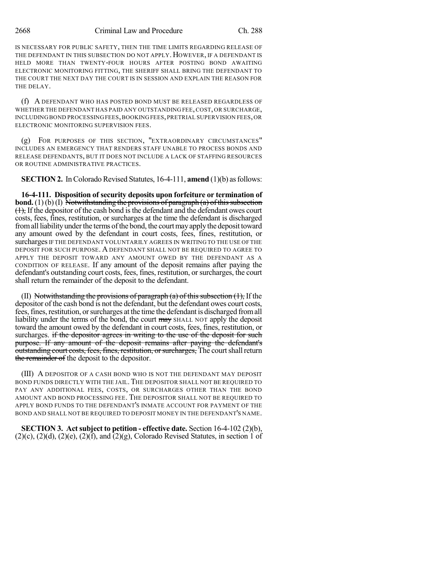IS NECESSARY FOR PUBLIC SAFETY, THEN THE TIME LIMITS REGARDING RELEASE OF THE DEFENDANT IN THIS SUBSECTION DO NOT APPLY. HOWEVER, IF A DEFENDANT IS HELD MORE THAN TWENTY-FOUR HOURS AFTER POSTING BOND AWAITING ELECTRONIC MONITORING FITTING, THE SHERIFF SHALL BRING THE DEFENDANT TO THE COURT THE NEXT DAY THE COURT IS IN SESSION AND EXPLAIN THE REASON FOR THE DELAY.

(f) A DEFENDANT WHO HAS POSTED BOND MUST BE RELEASED REGARDLESS OF WHETHER THE DEFENDANT HAS PAID ANY OUTSTANDING FEE,COST, OR SURCHARGE, INCLUDING BOND PROCESSING FEES, BOOKING FEES, PRETRIAL SUPERVISION FEES, OR ELECTRONIC MONITORING SUPERVISION FEES.

(g) FOR PURPOSES OF THIS SECTION, "EXTRAORDINARY CIRCUMSTANCES" INCLUDES AN EMERGENCY THAT RENDERS STAFF UNABLE TO PROCESS BONDS AND RELEASE DEFENDANTS, BUT IT DOES NOT INCLUDE A LACK OF STAFFING RESOURCES OR ROUTINE ADMINISTRATIVE PRACTICES.

**SECTION 2.** In Colorado Revised Statutes, 16-4-111, **amend** (1)(b) as follows:

**16-4-111. Disposition of security deposits upon forfeiture or termination of bond.** (1)(b)(I) Notwithstanding the provisions of paragraph (a) of this subsection  $(1)$ , If the depositor of the cash bond is the defendant and the defendant owes court costs, fees, fines, restitution, or surcharges at the time the defendant is discharged from all liability under the terms of the bond, the court may apply the deposit toward any amount owed by the defendant in court costs, fees, fines, restitution, or surcharges IF THE DEFENDANT VOLUNTARILY AGREES IN WRITING TO THE USE OF THE DEPOSIT FOR SUCH PURPOSE. A DEFENDANT SHALL NOT BE REQUIRED TO AGREE TO APPLY THE DEPOSIT TOWARD ANY AMOUNT OWED BY THE DEFENDANT AS A CONDITION OF RELEASE. If any amount of the deposit remains after paying the defendant's outstanding court costs, fees, fines, restitution, or surcharges, the court shall return the remainder of the deposit to the defendant.

(II) Notwithstanding the provisions of paragraph  $(a)$  of this subsection  $(1)$ , If the depositor of the cash bond is not the defendant, but the defendant owes court costs, fees, fines, restitution, or surcharges at the time the defendant is discharged from all liability under the terms of the bond, the court may SHALL NOT apply the deposit toward the amount owed by the defendant in court costs, fees, fines, restitution, or surcharges. if the depositor agrees in writing to the use of the deposit for such purpose. If any amount of the deposit remains after paying the defendant's outstanding court costs, fees, fines, restitution, or surcharges, The court shall return the remainder of the deposit to the depositor.

(III) A DEPOSITOR OF A CASH BOND WHO IS NOT THE DEFENDANT MAY DEPOSIT BOND FUNDS DIRECTLY WITH THE JAIL.THE DEPOSITOR SHALL NOT BE REQUIRED TO PAY ANY ADDITIONAL FEES, COSTS, OR SURCHARGES OTHER THAN THE BOND AMOUNT AND BOND PROCESSING FEE. THE DEPOSITOR SHALL NOT BE REQUIRED TO APPLY BOND FUNDS TO THE DEFENDANT'S INMATE ACCOUNT FOR PAYMENT OF THE BOND AND SHALL NOT BE REQUIRED TO DEPOSIT MONEY IN THE DEFENDANT'S NAME.

**SECTION 3. Actsubject to petition - effective date.** Section 16-4-102 (2)(b),  $(2)(c)$ ,  $(2)(d)$ ,  $(2)(e)$ ,  $(2)(f)$ , and  $(2)(g)$ , Colorado Revised Statutes, in section 1 of